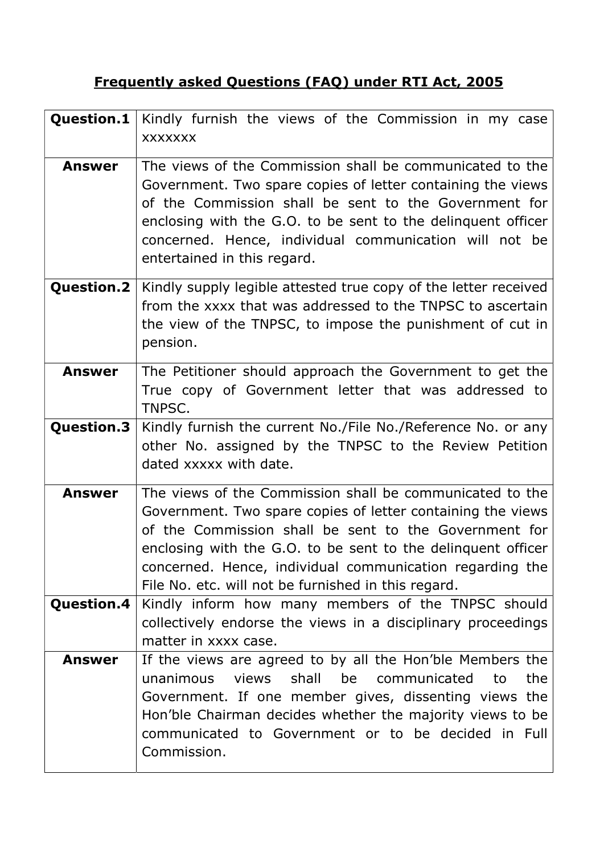# Frequently asked Questions (FAQ) under RTI Act, 2005

| <b>Question.1</b> | Kindly furnish the views of the Commission in my case<br><b>XXXXXXX</b>                                                                                                                                                                                                                                                                                             |  |
|-------------------|---------------------------------------------------------------------------------------------------------------------------------------------------------------------------------------------------------------------------------------------------------------------------------------------------------------------------------------------------------------------|--|
| <b>Answer</b>     | The views of the Commission shall be communicated to the<br>Government. Two spare copies of letter containing the views<br>of the Commission shall be sent to the Government for<br>enclosing with the G.O. to be sent to the delinguent officer<br>concerned. Hence, individual communication will not be<br>entertained in this regard.                           |  |
|                   | <b>Question.2</b>   Kindly supply legible attested true copy of the letter received<br>from the xxxx that was addressed to the TNPSC to ascertain<br>the view of the TNPSC, to impose the punishment of cut in<br>pension.                                                                                                                                          |  |
| <b>Answer</b>     | The Petitioner should approach the Government to get the<br>True copy of Government letter that was addressed to<br>TNPSC.                                                                                                                                                                                                                                          |  |
| <b>Question.3</b> | Kindly furnish the current No./File No./Reference No. or any<br>other No. assigned by the TNPSC to the Review Petition<br>dated xxxxx with date.                                                                                                                                                                                                                    |  |
| <b>Answer</b>     | The views of the Commission shall be communicated to the<br>Government. Two spare copies of letter containing the views<br>of the Commission shall be sent to the Government for<br>enclosing with the G.O. to be sent to the delinquent officer<br>concerned. Hence, individual communication regarding the<br>File No. etc. will not be furnished in this regard. |  |
| <b>Question.4</b> | Kindly inform how many members of the TNPSC should<br>collectively endorse the views in a disciplinary proceedings<br>matter in xxxx case.                                                                                                                                                                                                                          |  |
| <b>Answer</b>     | If the views are agreed to by all the Hon'ble Members the<br>unanimous<br>views<br>shall be communicated<br>the<br>to<br>Government. If one member gives, dissenting views the<br>Hon'ble Chairman decides whether the majority views to be<br>communicated to Government or to be decided in Full<br>Commission.                                                   |  |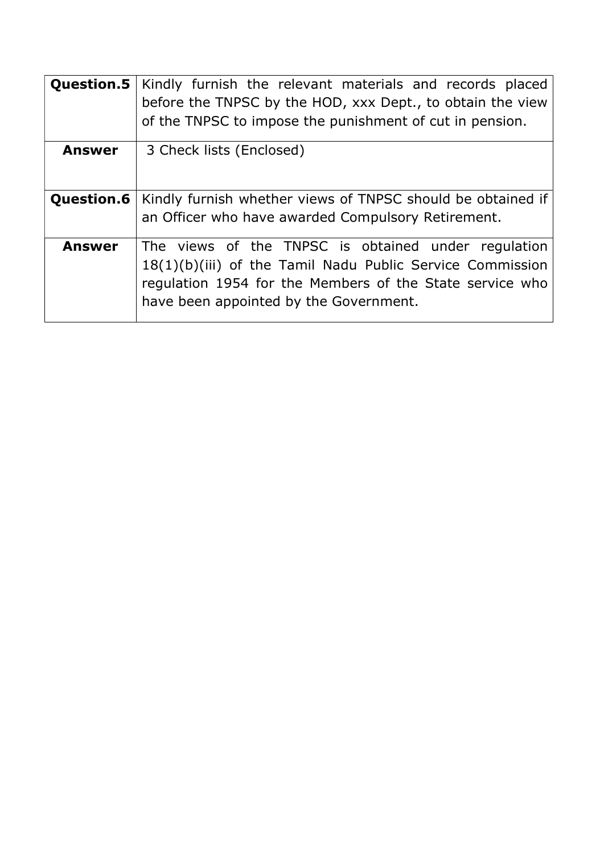| Question.5        | Kindly furnish the relevant materials and records placed<br>before the TNPSC by the HOD, xxx Dept., to obtain the view<br>of the TNPSC to impose the punishment of cut in pension.                                     |
|-------------------|------------------------------------------------------------------------------------------------------------------------------------------------------------------------------------------------------------------------|
| <b>Answer</b>     | 3 Check lists (Enclosed)                                                                                                                                                                                               |
| <b>Question.6</b> | Kindly furnish whether views of TNPSC should be obtained if<br>an Officer who have awarded Compulsory Retirement.                                                                                                      |
| <b>Answer</b>     | The views of the TNPSC is obtained under regulation<br>18(1)(b)(iii) of the Tamil Nadu Public Service Commission<br>regulation 1954 for the Members of the State service who<br>have been appointed by the Government. |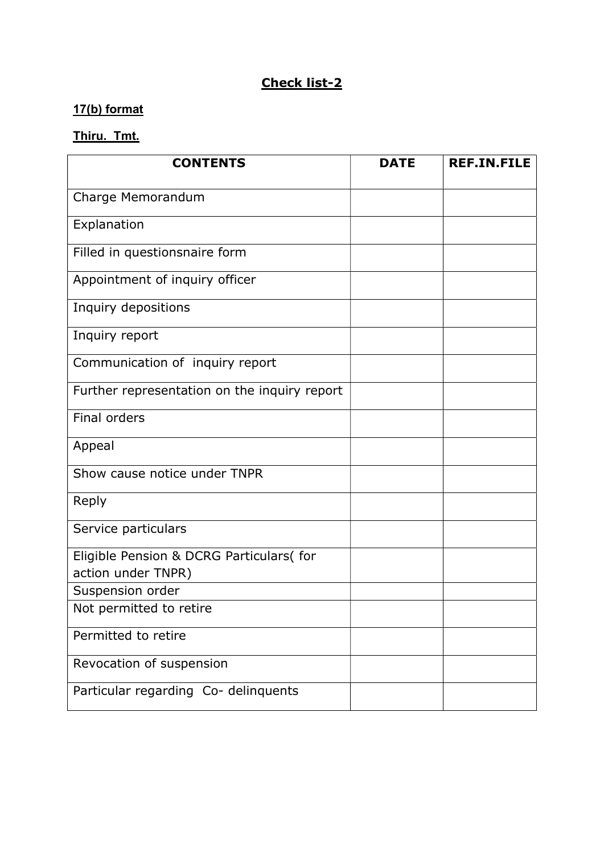### Check list-2

#### 17(b) format

# Thiru. Tmt.

| <b>CONTENTS</b>                              | <b>DATE</b> | <b>REF.IN.FILE</b> |
|----------------------------------------------|-------------|--------------------|
| Charge Memorandum                            |             |                    |
| Explanation                                  |             |                    |
| Filled in questionsnaire form                |             |                    |
| Appointment of inquiry officer               |             |                    |
| Inquiry depositions                          |             |                    |
| Inquiry report                               |             |                    |
| Communication of inquiry report              |             |                    |
| Further representation on the inquiry report |             |                    |
| Final orders                                 |             |                    |
| Appeal                                       |             |                    |
| Show cause notice under TNPR                 |             |                    |
| Reply                                        |             |                    |
| Service particulars                          |             |                    |
| Eligible Pension & DCRG Particulars( for     |             |                    |
| action under TNPR)                           |             |                    |
| Suspension order                             |             |                    |
| Not permitted to retire                      |             |                    |
| Permitted to retire                          |             |                    |
| Revocation of suspension                     |             |                    |
| Particular regarding Co- delinquents         |             |                    |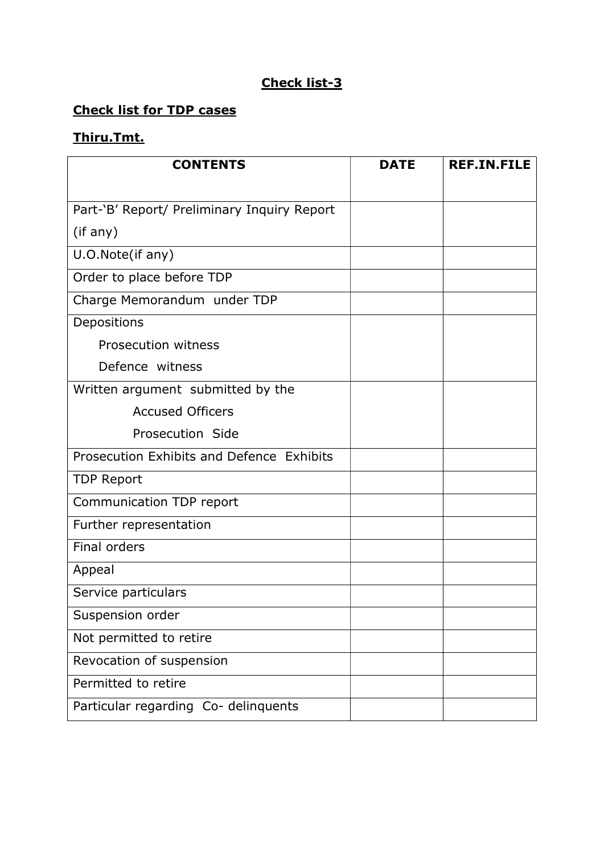### Check list-3

# Check list for TDP cases

#### Thiru.Tmt.

| <b>CONTENTS</b>                             | <b>DATE</b> | <b>REF.IN.FILE</b> |
|---------------------------------------------|-------------|--------------------|
|                                             |             |                    |
| Part-'B' Report/ Preliminary Inquiry Report |             |                    |
| (if any)                                    |             |                    |
| U.O.Note(if any)                            |             |                    |
| Order to place before TDP                   |             |                    |
| Charge Memorandum under TDP                 |             |                    |
| Depositions                                 |             |                    |
| Prosecution witness                         |             |                    |
| Defence witness                             |             |                    |
| Written argument submitted by the           |             |                    |
| <b>Accused Officers</b>                     |             |                    |
| Prosecution Side                            |             |                    |
| Prosecution Exhibits and Defence Exhibits   |             |                    |
| <b>TDP Report</b>                           |             |                    |
| Communication TDP report                    |             |                    |
| Further representation                      |             |                    |
| Final orders                                |             |                    |
| Appeal                                      |             |                    |
| Service particulars                         |             |                    |
| Suspension order                            |             |                    |
| Not permitted to retire                     |             |                    |
| Revocation of suspension                    |             |                    |
| Permitted to retire                         |             |                    |
| Particular regarding Co- delinquents        |             |                    |